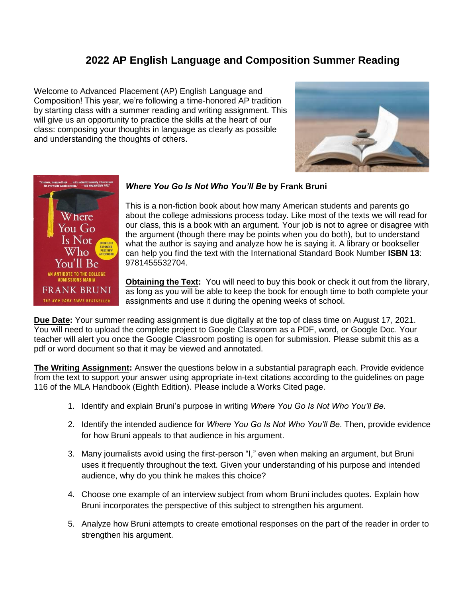## **2022 AP English Language and Composition Summer Reading**

Welcome to Advanced Placement (AP) English Language and Composition! This year, we're following a time-honored AP tradition by starting class with a summer reading and writing assignment. This will give us an opportunity to practice the skills at the heart of our class: composing your thoughts in language as clearly as possible and understanding the thoughts of others.





## *Where You Go Is Not Who You'll Be* **by Frank Bruni**

This is a non-fiction book about how many American students and parents go about the college admissions process today. Like most of the texts we will read for our class, this is a book with an argument. Your job is not to agree or disagree with the argument (though there may be points when you do both), but to understand what the author is saying and analyze how he is saying it. A library or bookseller can help you find the text with the International Standard Book Number **ISBN 13**: 9781455532704.

**Obtaining the Text:** You will need to buy this book or check it out from the library, as long as you will be able to keep the book for enough time to both complete your assignments and use it during the opening weeks of school.

**Due Date:** Your summer reading assignment is due digitally at the top of class time on August 17, 2021. You will need to upload the complete project to Google Classroom as a PDF, word, or Google Doc. Your teacher will alert you once the Google Classroom posting is open for submission. Please submit this as a pdf or word document so that it may be viewed and annotated.

**The Writing Assignment:** Answer the questions below in a substantial paragraph each. Provide evidence from the text to support your answer using appropriate in-text citations according to the guidelines on page 116 of the MLA Handbook (Eighth Edition). Please include a Works Cited page.

- 1. Identify and explain Bruni's purpose in writing *Where You Go Is Not Who You'll Be*.
- 2. Identify the intended audience for *Where You Go Is Not Who You'll Be*. Then, provide evidence for how Bruni appeals to that audience in his argument.
- 3. Many journalists avoid using the first-person "I," even when making an argument, but Bruni uses it frequently throughout the text. Given your understanding of his purpose and intended audience, why do you think he makes this choice?
- 4. Choose one example of an interview subject from whom Bruni includes quotes. Explain how Bruni incorporates the perspective of this subject to strengthen his argument.
- 5. Analyze how Bruni attempts to create emotional responses on the part of the reader in order to strengthen his argument.